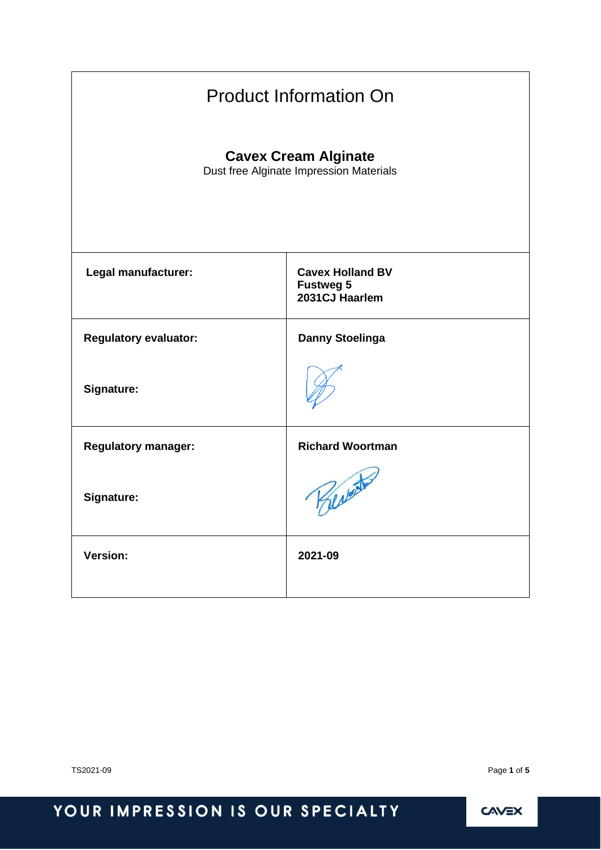| <b>Product Information On</b>                                          |                                                               |  |  |
|------------------------------------------------------------------------|---------------------------------------------------------------|--|--|
| <b>Cavex Cream Alginate</b><br>Dust free Alginate Impression Materials |                                                               |  |  |
| Legal manufacturer:                                                    | <b>Cavex Holland BV</b><br><b>Fustweg 5</b><br>2031CJ Haarlem |  |  |
| <b>Regulatory evaluator:</b>                                           | <b>Danny Stoelinga</b>                                        |  |  |
| <b>Signature:</b>                                                      |                                                               |  |  |
| <b>Regulatory manager:</b>                                             | <b>Richard Woortman</b>                                       |  |  |
| Signature:                                                             | Bertonto                                                      |  |  |
| <b>Version:</b>                                                        | 2021-09                                                       |  |  |

TS2021-09 Page **1** of **5**

# YOUR IMPRESSION IS OUR SPECIALTY

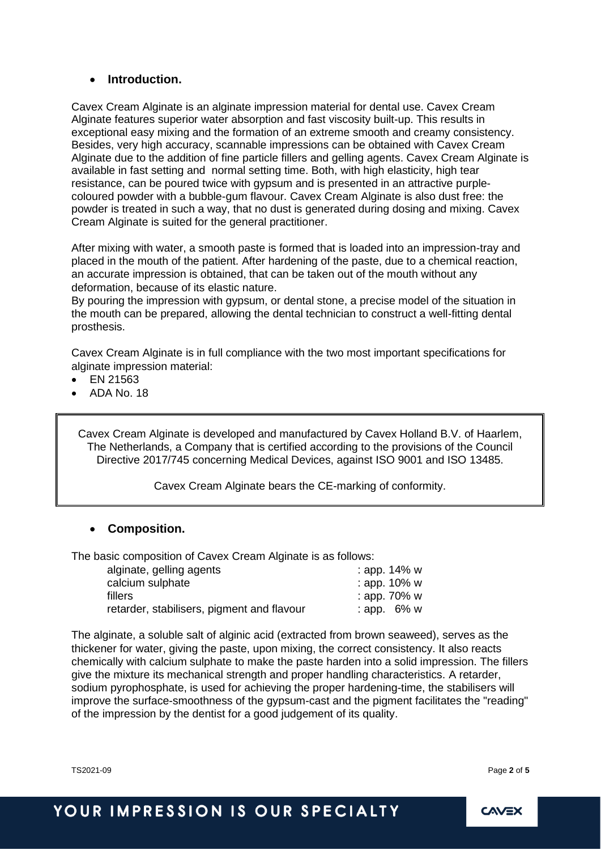#### • **Introduction.**

Cavex Cream Alginate is an alginate impression material for dental use. Cavex Cream Alginate features superior water absorption and fast viscosity built-up. This results in exceptional easy mixing and the formation of an extreme smooth and creamy consistency. Besides, very high accuracy, scannable impressions can be obtained with Cavex Cream Alginate due to the addition of fine particle fillers and gelling agents. Cavex Cream Alginate is available in fast setting and normal setting time. Both, with high elasticity, high tear resistance, can be poured twice with gypsum and is presented in an attractive purplecoloured powder with a bubble-gum flavour. Cavex Cream Alginate is also dust free: the powder is treated in such a way, that no dust is generated during dosing and mixing. Cavex Cream Alginate is suited for the general practitioner.

After mixing with water, a smooth paste is formed that is loaded into an impression-tray and placed in the mouth of the patient. After hardening of the paste, due to a chemical reaction, an accurate impression is obtained, that can be taken out of the mouth without any deformation, because of its elastic nature.

By pouring the impression with gypsum, or dental stone, a precise model of the situation in the mouth can be prepared, allowing the dental technician to construct a well-fitting dental prosthesis.

Cavex Cream Alginate is in full compliance with the two most important specifications for alginate impression material:

- EN 21563
- ADA No. 18

Cavex Cream Alginate is developed and manufactured by Cavex Holland B.V. of Haarlem, The Netherlands, a Company that is certified according to the provisions of the Council Directive 2017/745 concerning Medical Devices, against ISO 9001 and ISO 13485.

Cavex Cream Alginate bears the CE-marking of conformity.

### • **Composition.**

The basic composition of Cavex Cream Alginate is as follows:

| alginate, gelling agents                   | : app. 14% w    |
|--------------------------------------------|-----------------|
| calcium sulphate                           | : app. 10% w    |
| fillers                                    | : app. $70\%$ w |
| retarder, stabilisers, pigment and flavour | : app. $6\%$ w  |
|                                            |                 |

The alginate, a soluble salt of alginic acid (extracted from brown seaweed), serves as the thickener for water, giving the paste, upon mixing, the correct consistency. It also reacts chemically with calcium sulphate to make the paste harden into a solid impression. The fillers give the mixture its mechanical strength and proper handling characteristics. A retarder, sodium pyrophosphate, is used for achieving the proper hardening-time, the stabilisers will improve the surface-smoothness of the gypsum-cast and the pigment facilitates the "reading" of the impression by the dentist for a good judgement of its quality.

TS2021-09 Page **2** of **5**

# YOUR IMPRESSION IS OUR SPECIALTY

**CAVEX**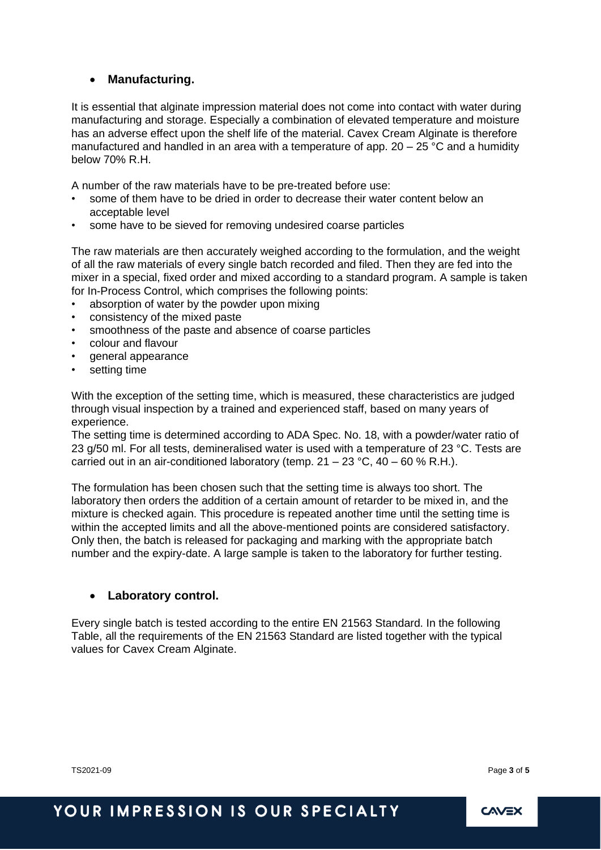### • **Manufacturing.**

It is essential that alginate impression material does not come into contact with water during manufacturing and storage. Especially a combination of elevated temperature and moisture has an adverse effect upon the shelf life of the material. Cavex Cream Alginate is therefore manufactured and handled in an area with a temperature of app.  $20 - 25$  °C and a humidity below 70% R.H.

A number of the raw materials have to be pre-treated before use:

- some of them have to be dried in order to decrease their water content below an acceptable level
- some have to be sieved for removing undesired coarse particles

The raw materials are then accurately weighed according to the formulation, and the weight of all the raw materials of every single batch recorded and filed. Then they are fed into the mixer in a special, fixed order and mixed according to a standard program. A sample is taken for In-Process Control, which comprises the following points:

- absorption of water by the powder upon mixing
- consistency of the mixed paste
- smoothness of the paste and absence of coarse particles
- colour and flavour
- general appearance
- setting time

With the exception of the setting time, which is measured, these characteristics are judged through visual inspection by a trained and experienced staff, based on many years of experience.

The setting time is determined according to ADA Spec. No. 18, with a powder/water ratio of 23 g/50 ml. For all tests, demineralised water is used with a temperature of 23 °C. Tests are carried out in an air-conditioned laboratory (temp.  $21 - 23$  °C,  $40 - 60$  % R.H.).

The formulation has been chosen such that the setting time is always too short. The laboratory then orders the addition of a certain amount of retarder to be mixed in, and the mixture is checked again. This procedure is repeated another time until the setting time is within the accepted limits and all the above-mentioned points are considered satisfactory. Only then, the batch is released for packaging and marking with the appropriate batch number and the expiry-date. A large sample is taken to the laboratory for further testing.

#### • **Laboratory control.**

Every single batch is tested according to the entire EN 21563 Standard. In the following Table, all the requirements of the EN 21563 Standard are listed together with the typical values for Cavex Cream Alginate.

TS2021-09 Page **3** of **5**

# YOUR IMPRESSION IS OUR SPECIALTY

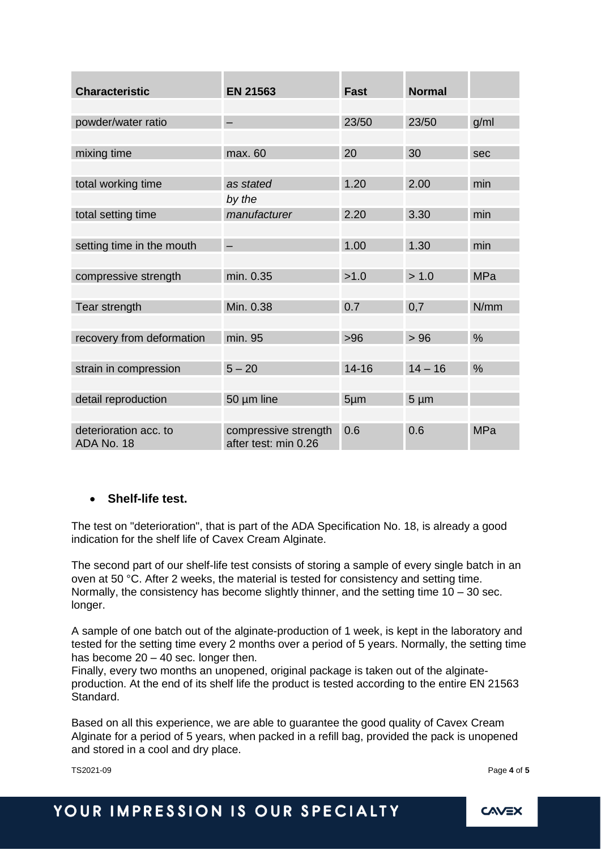| <b>Characteristic</b>               | <b>EN 21563</b>                              | <b>Fast</b> | <b>Normal</b> |               |
|-------------------------------------|----------------------------------------------|-------------|---------------|---------------|
|                                     |                                              |             |               |               |
| powder/water ratio                  |                                              | 23/50       | 23/50         | g/ml          |
|                                     |                                              |             |               |               |
| mixing time                         | max. 60                                      | 20          | 30            | sec           |
|                                     |                                              |             |               |               |
| total working time                  | as stated                                    | 1.20        | 2.00          | min           |
|                                     | by the                                       |             |               |               |
| total setting time                  | manufacturer                                 | 2.20        | 3.30          | min           |
|                                     |                                              |             |               |               |
| setting time in the mouth           |                                              | 1.00        | 1.30          | min           |
|                                     |                                              |             |               |               |
| compressive strength                | min. 0.35                                    | >1.0        | > 1.0         | <b>MPa</b>    |
|                                     |                                              |             |               |               |
| Tear strength                       | Min. 0.38                                    | 0.7         | 0,7           | N/mm          |
|                                     |                                              |             |               |               |
| recovery from deformation           | min. 95                                      | >96         | >96           | $\frac{0}{0}$ |
|                                     |                                              |             |               |               |
| strain in compression               | $5 - 20$                                     | $14 - 16$   | $14 - 16$     | $\frac{0}{0}$ |
|                                     |                                              |             |               |               |
| detail reproduction                 | 50 µm line                                   | $5 \mu m$   | $5 \mu m$     |               |
|                                     |                                              |             |               |               |
| deterioration acc. to<br>ADA No. 18 | compressive strength<br>after test: min 0.26 | 0.6         | 0.6           | <b>MPa</b>    |

#### • **Shelf-life test.**

The test on "deterioration", that is part of the ADA Specification No. 18, is already a good indication for the shelf life of Cavex Cream Alginate.

The second part of our shelf-life test consists of storing a sample of every single batch in an oven at 50 °C. After 2 weeks, the material is tested for consistency and setting time. Normally, the consistency has become slightly thinner, and the setting time  $10 - 30$  sec. longer.

A sample of one batch out of the alginate-production of 1 week, is kept in the laboratory and tested for the setting time every 2 months over a period of 5 years. Normally, the setting time has become  $20 - 40$  sec. longer then.

Finally, every two months an unopened, original package is taken out of the alginateproduction. At the end of its shelf life the product is tested according to the entire EN 21563 Standard.

Based on all this experience, we are able to guarantee the good quality of Cavex Cream Alginate for a period of 5 years, when packed in a refill bag, provided the pack is unopened and stored in a cool and dry place.

TS2021-09 Page **4** of **5**

# YOUR IMPRESSION IS OUR SPECIALTY

**CAVEX**